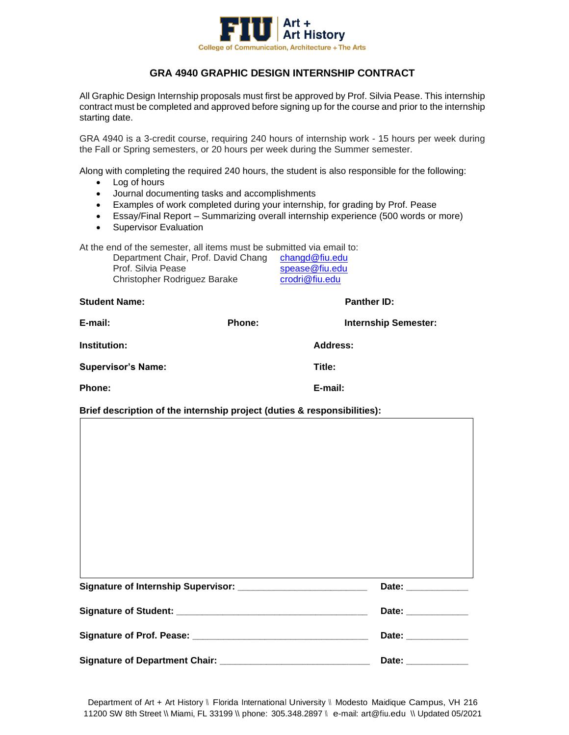

## **GRA 4940 GRAPHIC DESIGN INTERNSHIP CONTRACT**

All Graphic Design Internship proposals must first be approved by Prof. Silvia Pease. This internship contract must be completed and approved before signing up for the course and prior to the internship starting date.

GRA 4940 is a 3-credit course, requiring 240 hours of internship work - 15 hours per week during the Fall or Spring semesters, or 20 hours per week during the Summer semester.

Along with completing the required 240 hours, the student is also responsible for the following:

- Log of hours
- Journal documenting tasks and accomplishments
- Examples of work completed during your internship, for grading by Prof. Pease
- Essay/Final Report Summarizing overall internship experience (500 words or more)
- Supervisor Evaluation

At the end of the semester, all items must be submitted via email to:

| Department Chair, Prof. David Chang | changd@fiu.edu |
|-------------------------------------|----------------|
| Prof. Silvia Pease                  | spease@fiu.edu |
| Christopher Rodriguez Barake        | crodri@fiu.edu |

| <b>Student Name:</b>      |        | <b>Panther ID:</b>          |
|---------------------------|--------|-----------------------------|
| E-mail:                   | Phone: | <b>Internship Semester:</b> |
| Institution:              |        | Address:                    |
| <b>Supervisor's Name:</b> |        | Title:                      |
| Phone:                    |        | E-mail:                     |

## **Brief description of the internship project (duties & responsibilities):**

|                                       | Date: ______________ |
|---------------------------------------|----------------------|
|                                       | Date: _____________  |
|                                       | Date: _____________  |
| <b>Signature of Department Chair:</b> | Date:                |